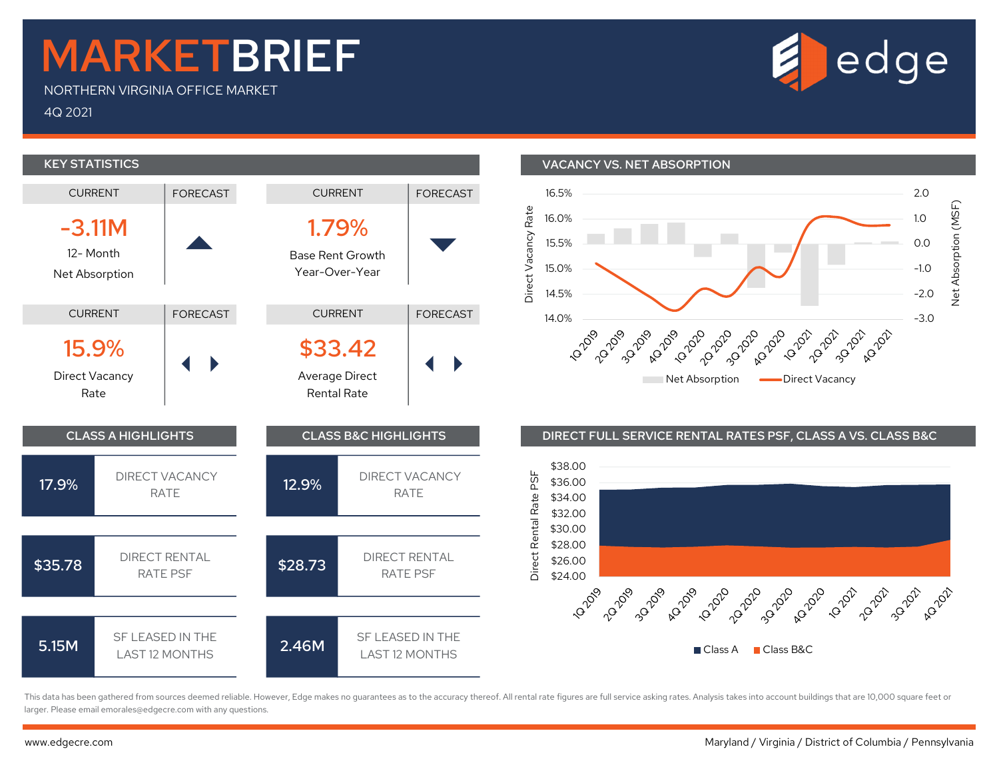## MARKETBRIEF

NORTHERN VIRGINIA OFFICE MARKET 4Q 2021



-3.0

A2 2022

**12-2021** 

0.0

1.0<br>
0.0<br>
-1.0<br>
-2.0<br>  $\frac{1}{2}$ <br>  $\frac{1}{2}$ <br>  $\frac{1}{2}$ -1.0

1.0  $\frac{67}{5}$ 2.0

**KEY STATISTICS** VACANCY VS. NET ABSORPTION CURRENT | FORECAST CURRENT | FORECAST 16.5%  $\frac{4}{3}$  16.0%<br>  $\frac{4}{3}$  15.5%<br>  $\frac{1}{3}$  15.0%<br>  $\frac{1}{3}$  14.5%<br>  $\frac{1}{2}$  1.0<br>  $\frac{6}{3}$  1.0<br>  $\frac{6}{3}$  1.0<br>  $\frac{6}{3}$  1.0<br>  $\frac{6}{3}$  1.0<br>  $\frac{6}{3}$  1.0<br>  $\frac{6}{3}$  1.0<br>  $\frac{6}{3}$  1.0<br>  $\frac{6}{3}$  1.0<br>  $\frac{6}{3}$  1.0<br>  $\frac$ 16.0%  $-3.11M$ 1.79%  $\blacktriangledown$ 15.5% Base Rent Growth 15.0% Year-Over-Year Net Absorption 14.5% CURRENT FORECAST CURRENT | FORECAST 14.0% - 20% - 20% - 20% - 21.0% - 21.0% - 21.0% - 21.0% - 21.0% - 21.0% - 21.0% - 21.0% - 21.0% - 21.0% - 21.0 20-2021 **12-2021 02-202-202** 320 2020 020 2020  $\begin{array}{|c|c|}\n \hline\n 15.9\% & & \\\n\end{array}$ <br>Direct Vacancy  $D$  Direct Vacancy  $\left| \left| \left| \right| \right| \right|$   $\left| \left| \left| \right| \right|$   $\left| \left| \right| \right|$   $\left| \left| \left| \right| \right|$   $\left| \left| \left| \right| \right| \right|$ Average Direct Net Absorption **Communist Contains Act Acancy** Rate Rental Rate CLASS A HIGHLIGHTS CLASS B&C HIGHLIGHTS DIRECT FULL SERVICE RENTAL RATES PSF, CLASS A VS. CLASS B&C  $$38.00$ <br>  $$36.00$ <br>  $$34.00$ <br>  $$32.00$ <br>  $$32.00$ <br>  $$28.00$ <br>  $$26.00$ <br>  $$24.00$ 17.9% DIRECT VACANCY T VACANCY **12.9%** DIRECT VACANCY<br>RATE RATE \$36.00 RATE \$34.00 \$32.00 \$30.00 \$28.00 \$35.78 DIRECT RENTAL<br>RATE PSF ECT RENTAL **\$28.73** DIRECT RENTAL<br>RATE PSF RATE PSF \$26.00 RATE PSF \$24.00 30-2020 A **2020** 1920 - 22° 20° 32° **5.15M** SF LEASED IN THE SF LEASED IN THE **2.46M** SF LEASED IN THE LAST 12 MONTHS Class A **Class B&C** 

This data has been gathered from sources deemed reliable. However, Edge makes no guarantees as to the accuracy thereof. All rental rate figures are full service asking rates. Analysis takes into account buildings that are larger. Please email emorales@edgecre.com with any questions.